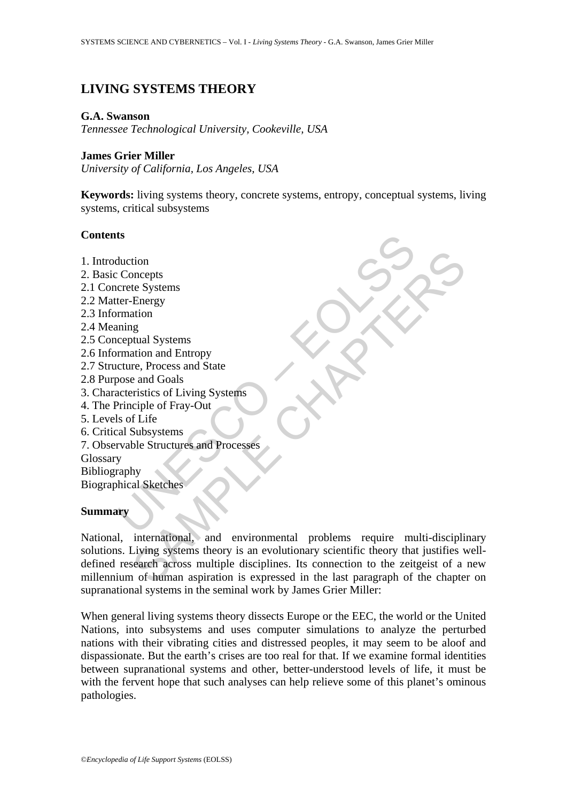# **LIVING SYSTEMS THEORY**

#### **G.A. Swanson**

*Tennessee Technological University, Cookeville, USA* 

#### **James Grier Miller**

*University of California, Los Angeles, USA* 

**Keywords:** living systems theory, concrete systems, entropy, conceptual systems, living systems, critical subsystems

## **Contents**

- 1. Introduction
- 2. Basic Concepts
- 2.1 Concrete Systems
- 2.2 Matter-Energy
- 2.3 Information
- 2.4 Meaning
- 2.5 Conceptual Systems
- 2.6 Information and Entropy
- 2.7 Structure, Process and State
- 2.8 Purpose and Goals
- 3. Characteristics of Living Systems
- 4. The Principle of Fray-Out
- 5. Levels of Life
- 6. Critical Subsystems
- ts<br>
duction<br>
Concepts<br>
crete Systems<br>
ter-Energy<br>
rmation<br>
rmation and Entropy<br>
crete states of Living Systems<br>
creteristics of Living Systems<br>
of Crive of Fray-Out<br>
sls of Life<br>
al Subsystems<br>
y<br>
raphy<br>
phical Sketches<br>
y 7. Observable Structures and Processes
- Glossary Bibliography

Biographical Sketches

#### **Summary**

tion<br>
the Systems<br>
te Systems<br>
tation<br>
and Entropy<br>
and Shares<br>
and Goals<br>
international, and Processes<br>
ble Structures and Processes<br>
ble Structures and Processes<br>
ble Structures and Processes<br>
ble Structures and Processe National, international, and environmental problems require multi-disciplinary solutions. Living systems theory is an evolutionary scientific theory that justifies welldefined research across multiple disciplines. Its connection to the zeitgeist of a new millennium of human aspiration is expressed in the last paragraph of the chapter on supranational systems in the seminal work by James Grier Miller:

When general living systems theory dissects Europe or the EEC, the world or the United Nations, into subsystems and uses computer simulations to analyze the perturbed nations with their vibrating cities and distressed peoples, it may seem to be aloof and dispassionate. But the earth's crises are too real for that. If we examine formal identities between supranational systems and other, better-understood levels of life, it must be with the fervent hope that such analyses can help relieve some of this planet's ominous pathologies.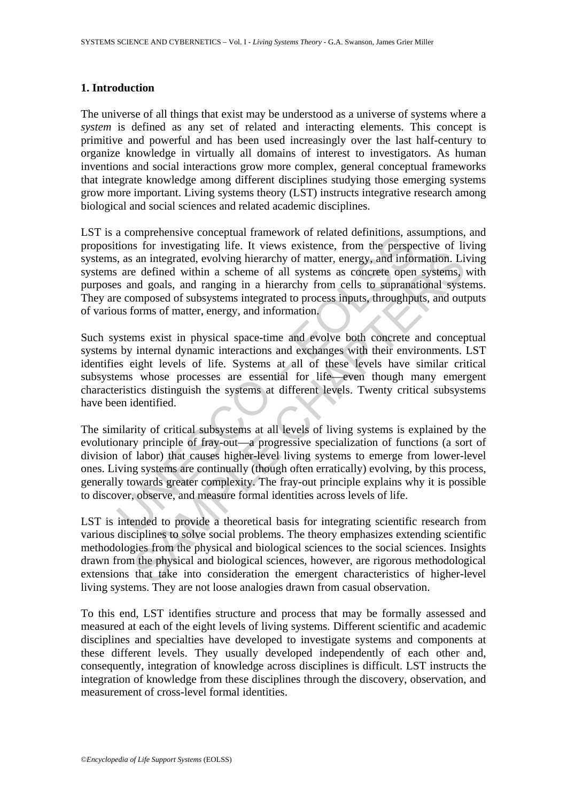### **1. Introduction**

The universe of all things that exist may be understood as a universe of systems where a *system* is defined as any set of related and interacting elements. This concept is primitive and powerful and has been used increasingly over the last half-century to organize knowledge in virtually all domains of interest to investigators. As human inventions and social interactions grow more complex, general conceptual frameworks that integrate knowledge among different disciplines studying those emerging systems grow more important. Living systems theory (LST) instructs integrative research among biological and social sciences and related academic disciplines.

a complements conceptual namework of related deminitors, as<br>a compensive conceptual mate and the perspective, as<br>an integrated, evolving hierarchy of matter, energy, and infor<br>are defined within a scheme of all systems as LST is a comprehensive conceptual framework of related definitions, assumptions, and propositions for investigating life. It views existence, from the perspective of living systems, as an integrated, evolving hierarchy of matter, energy, and information. Living systems are defined within a scheme of all systems as concrete open systems, with purposes and goals, and ranging in a hierarchy from cells to supranational systems. They are composed of subsystems integrated to process inputs, throughputs, and outputs of various forms of matter, energy, and information.

Such systems exist in physical space-time and evolve both concrete and conceptual systems by internal dynamic interactions and exchanges with their environments. LST identifies eight levels of life. Systems at all of these levels have similar critical subsystems whose processes are essential for life—even though many emergent characteristics distinguish the systems at different levels. Twenty critical subsystems have been identified.

is an integrated, evolving hierarchy of matter, energy, and information. Lie<br>a defined within a scheme of all systems as concrete open systems,<br>mongolasl, and ranging in a hierarchy for matter, energy, and informational sy The similarity of critical subsystems at all levels of living systems is explained by the evolutionary principle of fray-out—a progressive specialization of functions (a sort of division of labor) that causes higher-level living systems to emerge from lower-level ones. Living systems are continually (though often erratically) evolving, by this process, generally towards greater complexity. The fray-out principle explains why it is possible to discover, observe, and measure formal identities across levels of life.

LST is intended to provide a theoretical basis for integrating scientific research from various disciplines to solve social problems. The theory emphasizes extending scientific methodologies from the physical and biological sciences to the social sciences. Insights drawn from the physical and biological sciences, however, are rigorous methodological extensions that take into consideration the emergent characteristics of higher-level living systems. They are not loose analogies drawn from casual observation.

To this end, LST identifies structure and process that may be formally assessed and measured at each of the eight levels of living systems. Different scientific and academic disciplines and specialties have developed to investigate systems and components at these different levels. They usually developed independently of each other and, consequently, integration of knowledge across disciplines is difficult. LST instructs the integration of knowledge from these disciplines through the discovery, observation, and measurement of cross-level formal identities.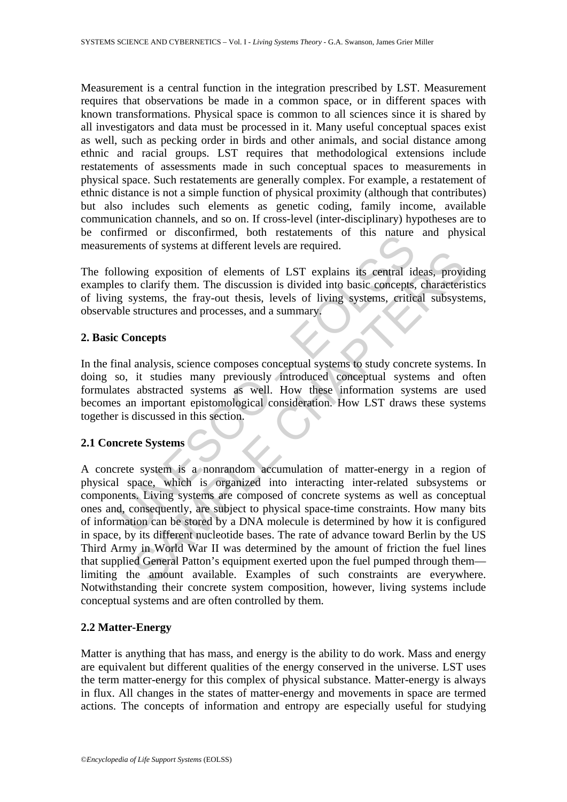Measurement is a central function in the integration prescribed by LST. Measurement requires that observations be made in a common space, or in different spaces with known transformations. Physical space is common to all sciences since it is shared by all investigators and data must be processed in it. Many useful conceptual spaces exist as well, such as pecking order in birds and other animals, and social distance among ethnic and racial groups. LST requires that methodological extensions include restatements of assessments made in such conceptual spaces to measurements in physical space. Such restatements are generally complex. For example, a restatement of ethnic distance is not a simple function of physical proximity (although that contributes) but also includes such elements as genetic coding, family income, available communication channels, and so on. If cross-level (inter-disciplinary) hypotheses are to be confirmed or disconfirmed, both restatements of this nature and physical measurements of systems at different levels are required.

The following exposition of elements of LST explains its central ideas, providing examples to clarify them. The discussion is divided into basic concepts, characteristics of living systems, the fray-out thesis, levels of living systems, critical subsystems, observable structures and processes, and a summary.

## **2. Basic Concepts**

In the final analysis, science composes conceptual systems to study concrete systems. In doing so, it studies many previously introduced conceptual systems and often formulates abstracted systems as well. How these information systems are used becomes an important epistomological consideration. How LST draws these systems together is discussed in this section.

## **2.1 Concrete Systems**

minded of uscommined, boundistancements of units nature<br>ments of systems at different levels are required.<br>Ilowing exposition of elements of LST explains its central id<br>se to clarify them. The discussion is divided into ba The mass of LST explains its central ideas, providing exposition of elements of LST explains its central ideas, providing expositions in divided into basic concepts, characteristy<br>strems, the fray-out thesis, levels of liv A concrete system is a nonrandom accumulation of matter-energy in a region of physical space, which is organized into interacting inter-related subsystems or components. Living systems are composed of concrete systems as well as conceptual ones and, consequently, are subject to physical space-time constraints. How many bits of information can be stored by a DNA molecule is determined by how it is configured in space, by its different nucleotide bases. The rate of advance toward Berlin by the US Third Army in World War II was determined by the amount of friction the fuel lines that supplied General Patton's equipment exerted upon the fuel pumped through them limiting the amount available. Examples of such constraints are everywhere. Notwithstanding their concrete system composition, however, living systems include conceptual systems and are often controlled by them.

## **2.2 Matter-Energy**

Matter is anything that has mass, and energy is the ability to do work. Mass and energy are equivalent but different qualities of the energy conserved in the universe. LST uses the term matter-energy for this complex of physical substance. Matter-energy is always in flux. All changes in the states of matter-energy and movements in space are termed actions. The concepts of information and entropy are especially useful for studying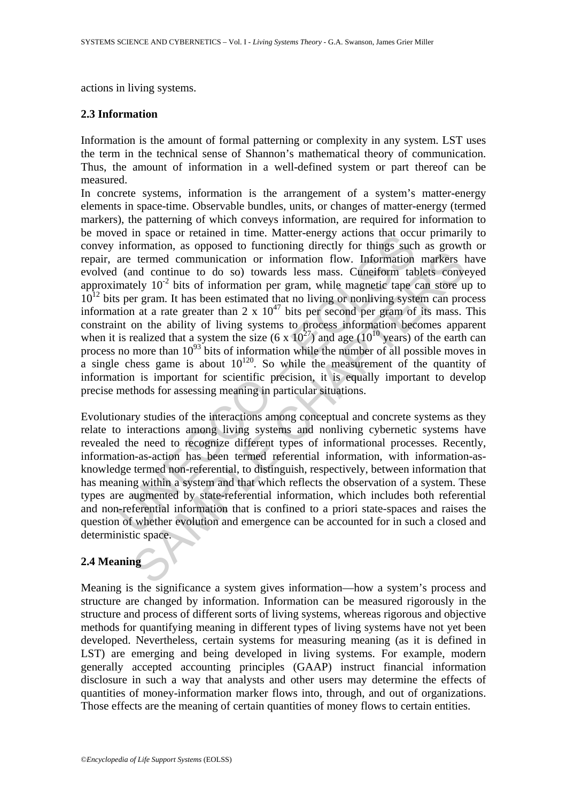actions in living systems.

## **2.3 Information**

Information is the amount of formal patterning or complexity in any system. LST uses the term in the technical sense of Shannon's mathematical theory of communication. Thus, the amount of information in a well-defined system or part thereof can be measured.

ed in space of retained in time. Watel-energy actoms tat occur<br>information, a opposed to functioning directly for things such<br>are termed communication or information flow. Information<br>information (and continue to do so) t the communication or information flow. Information markers and continue to do so) towards less mass. Cuneiform tablets convent and continue to do so) towards less mass. Cuneiform tablets convert expect the convention or i In concrete systems, information is the arrangement of a system's matter-energy elements in space-time. Observable bundles, units, or changes of matter-energy (termed markers), the patterning of which conveys information, are required for information to be moved in space or retained in time. Matter-energy actions that occur primarily to convey information, as opposed to functioning directly for things such as growth or repair, are termed communication or information flow. Information markers have evolved (and continue to do so) towards less mass. Cuneiform tablets conveyed approximately  $10^{-2}$  bits of information per gram, while magnetic tape can store up to  $10^{12}$  bits per gram. It has been estimated that no living or nonliving system can process information at a rate greater than  $2 \times 10^{47}$  bits per second per gram of its mass. This constraint on the ability of living systems to process information becomes apparent when it is realized that a system the size  $(6 \times 10^{27})$  and age  $(10^{10} \text{ years})$  of the earth can process no more than  $10^{93}$  bits of information while the number of all possible moves in a single chess game is about  $10^{120}$ . So while the measurement of the quantity of information is important for scientific precision, it is equally important to develop precise methods for assessing meaning in particular situations.

Evolutionary studies of the interactions among conceptual and concrete systems as they relate to interactions among living systems and nonliving cybernetic systems have revealed the need to recognize different types of informational processes. Recently, information-as-action has been termed referential information, with information-asknowledge termed non-referential, to distinguish, respectively, between information that has meaning within a system and that which reflects the observation of a system. These types are augmented by state-referential information, which includes both referential and non-referential information that is confined to a priori state-spaces and raises the question of whether evolution and emergence can be accounted for in such a closed and deterministic space.

## **2.4 Meaning**

Meaning is the significance a system gives information—how a system's process and structure are changed by information. Information can be measured rigorously in the structure and process of different sorts of living systems, whereas rigorous and objective methods for quantifying meaning in different types of living systems have not yet been developed. Nevertheless, certain systems for measuring meaning (as it is defined in LST) are emerging and being developed in living systems. For example, modern generally accepted accounting principles (GAAP) instruct financial information disclosure in such a way that analysts and other users may determine the effects of quantities of money-information marker flows into, through, and out of organizations. Those effects are the meaning of certain quantities of money flows to certain entities.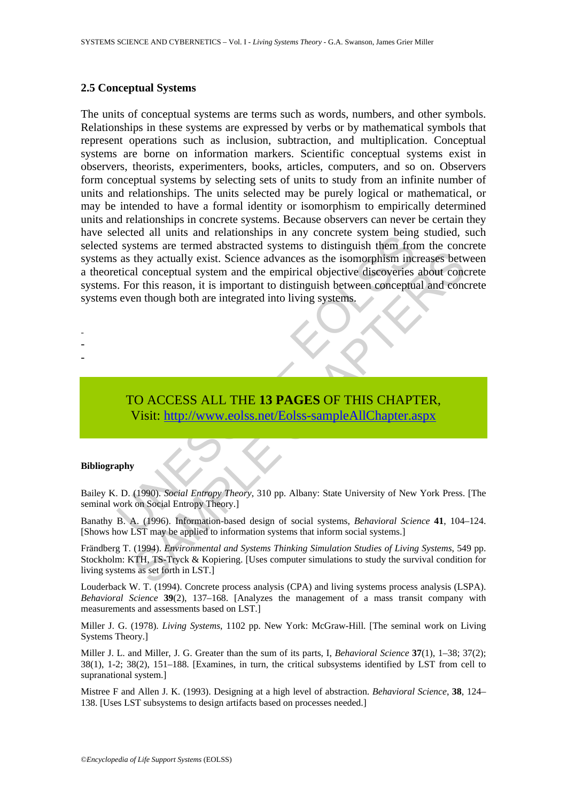#### **2.5 Conceptual Systems**

Experience and units and relationships in any oncide system being<br>as they actually exist. Science advances as the isomorphism inc<br>tical conceptual system and the empirical objective discoveries<br>as they actually exist. Scie They actually exist. Science advances as the isomorphism increases between they actually exist. Science advances as the isomorphism increases between conceptual system and the empirical objective discoveries about conceptu The units of conceptual systems are terms such as words, numbers, and other symbols. Relationships in these systems are expressed by verbs or by mathematical symbols that represent operations such as inclusion, subtraction, and multiplication. Conceptual systems are borne on information markers. Scientific conceptual systems exist in observers, theorists, experimenters, books, articles, computers, and so on. Observers form conceptual systems by selecting sets of units to study from an infinite number of units and relationships. The units selected may be purely logical or mathematical, or may be intended to have a formal identity or isomorphism to empirically determined units and relationships in concrete systems. Because observers can never be certain they have selected all units and relationships in any concrete system being studied, such selected systems are termed abstracted systems to distinguish them from the concrete systems as they actually exist. Science advances as the isomorphism increases between a theoretical conceptual system and the empirical objective discoveries about concrete systems. For this reason, it is important to distinguish between conceptual and concrete systems even though both are integrated into living systems.

- -
- -
- -

TO ACCESS ALL THE **13 PAGES** OF THIS CHAPTER, Visit: http://www.eolss.net/Eolss-sampleAllChapter.aspx

#### **Bibliography**

Bailey K. D. (1990). *Social Entropy Theory*, 310 pp. Albany: State University of New York Press. [The seminal work on Social Entropy Theory.]

Banathy B. A. (1996). Information-based design of social systems, *Behavioral Science* **41**, 104–124. [Shows how LST may be applied to information systems that inform social systems.]

Frändberg T. (1994). *Environmental and Systems Thinking Simulation Studies of Living Systems*, 549 pp. Stockholm: KTH, TS-Tryck & Kopiering. [Uses computer simulations to study the survival condition for living systems as set forth in LST.]

Louderback W. T. (1994). Concrete process analysis (CPA) and living systems process analysis (LSPA). *Behavioral Science* **39**(2), 137–168. [Analyzes the management of a mass transit company with measurements and assessments based on LST.]

Miller J. G. (1978). *Living Systems*, 1102 pp. New York: McGraw-Hill. [The seminal work on Living Systems Theory.]

Miller J. L. and Miller, J. G. Greater than the sum of its parts, I, *Behavioral Science* **37**(1), 1–38; 37(2); 38(1), 1-2; 38(2), 151–188. [Examines, in turn, the critical subsystems identified by LST from cell to supranational system.]

Mistree F and Allen J. K. (1993). Designing at a high level of abstraction. *Behavioral Science*, **38**, 124– 138. [Uses LST subsystems to design artifacts based on processes needed.]